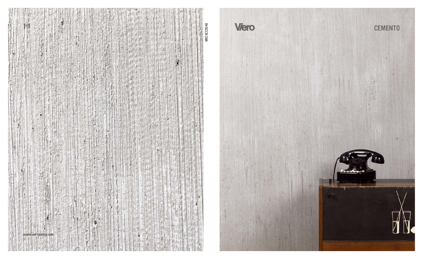